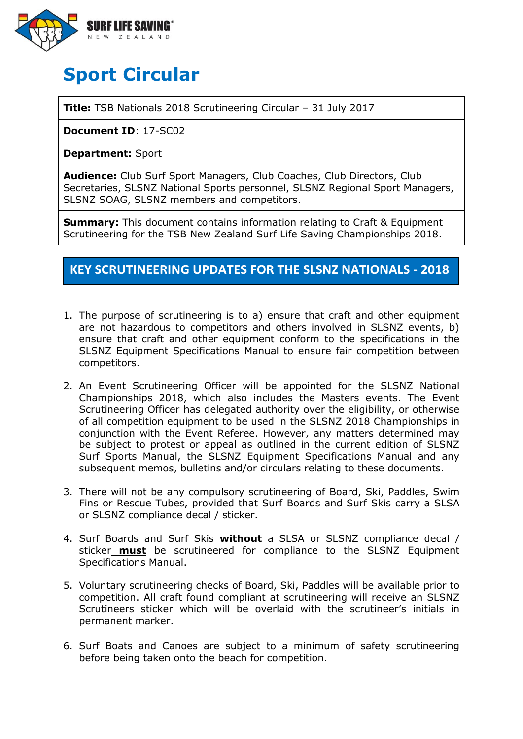

# **Sport Circular**

**Title:** TSB Nationals 2018 Scrutineering Circular – 31 July 2017

**Document ID**: 17-SC02

**Department:** Sport

**Audience:** Club Surf Sport Managers, Club Coaches, Club Directors, Club Secretaries, SLSNZ National Sports personnel, SLSNZ Regional Sport Managers, SLSNZ SOAG, SLSNZ members and competitors.

**Summary:** This document contains information relating to Craft & Equipment Scrutineering for the TSB New Zealand Surf Life Saving Championships 2018.

# **KEY SCRUTINEERING UPDATES FOR THE SLSNZ NATIONALS - 2018**

- 1. The purpose of scrutineering is to a) ensure that craft and other equipment are not hazardous to competitors and others involved in SLSNZ events, b) ensure that craft and other equipment conform to the specifications in the SLSNZ Equipment Specifications Manual to ensure fair competition between competitors.
- 2. An Event Scrutineering Officer will be appointed for the SLSNZ National Championships 2018, which also includes the Masters events. The Event Scrutineering Officer has delegated authority over the eligibility, or otherwise of all competition equipment to be used in the SLSNZ 2018 Championships in conjunction with the Event Referee. However, any matters determined may be subject to protest or appeal as outlined in the current edition of SLSNZ Surf Sports Manual, the SLSNZ Equipment Specifications Manual and any subsequent memos, bulletins and/or circulars relating to these documents.
- 3. There will not be any compulsory scrutineering of Board, Ski, Paddles, Swim Fins or Rescue Tubes, provided that Surf Boards and Surf Skis carry a SLSA or SLSNZ compliance decal / sticker.
- 4. Surf Boards and Surf Skis **without** a SLSA or SLSNZ compliance decal / sticker **must** be scrutineered for compliance to the SLSNZ Equipment Specifications Manual.
- 5. Voluntary scrutineering checks of Board, Ski, Paddles will be available prior to competition. All craft found compliant at scrutineering will receive an SLSNZ Scrutineers sticker which will be overlaid with the scrutineer's initials in permanent marker.
- 6. Surf Boats and Canoes are subject to a minimum of safety scrutineering before being taken onto the beach for competition.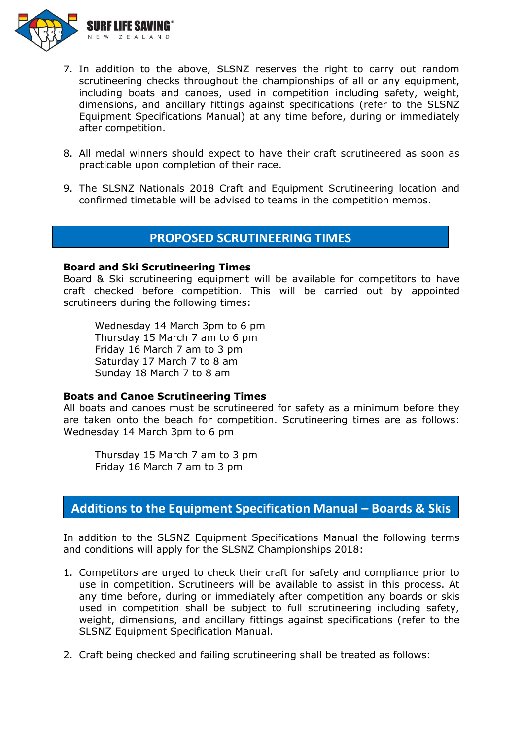

- 7. In addition to the above, SLSNZ reserves the right to carry out random scrutineering checks throughout the championships of all or any equipment, including boats and canoes, used in competition including safety, weight, dimensions, and ancillary fittings against specifications (refer to the SLSNZ Equipment Specifications Manual) at any time before, during or immediately after competition.
- 8. All medal winners should expect to have their craft scrutineered as soon as practicable upon completion of their race.
- 9. The SLSNZ Nationals 2018 Craft and Equipment Scrutineering location and confirmed timetable will be advised to teams in the competition memos.

## **PROPOSED SCRUTINEERING TIMES**

#### **Board and Ski Scrutineering Times**

Board & Ski scrutineering equipment will be available for competitors to have craft checked before competition. This will be carried out by appointed scrutineers during the following times:

Wednesday 14 March 3pm to 6 pm Thursday 15 March 7 am to 6 pm Friday 16 March 7 am to 3 pm Saturday 17 March 7 to 8 am Sunday 18 March 7 to 8 am

#### **Boats and Canoe Scrutineering Times**

All boats and canoes must be scrutineered for safety as a minimum before they are taken onto the beach for competition. Scrutineering times are as follows: Wednesday 14 March 3pm to 6 pm

Thursday 15 March 7 am to 3 pm Friday 16 March 7 am to 3 pm

## **Additions to the Equipment Specification Manual – Boards & Skis**

In addition to the SLSNZ Equipment Specifications Manual the following terms and conditions will apply for the SLSNZ Championships 2018:

- 1. Competitors are urged to check their craft for safety and compliance prior to use in competition. Scrutineers will be available to assist in this process. At any time before, during or immediately after competition any boards or skis used in competition shall be subject to full scrutineering including safety, weight, dimensions, and ancillary fittings against specifications (refer to the SLSNZ Equipment Specification Manual.
- 2. Craft being checked and failing scrutineering shall be treated as follows: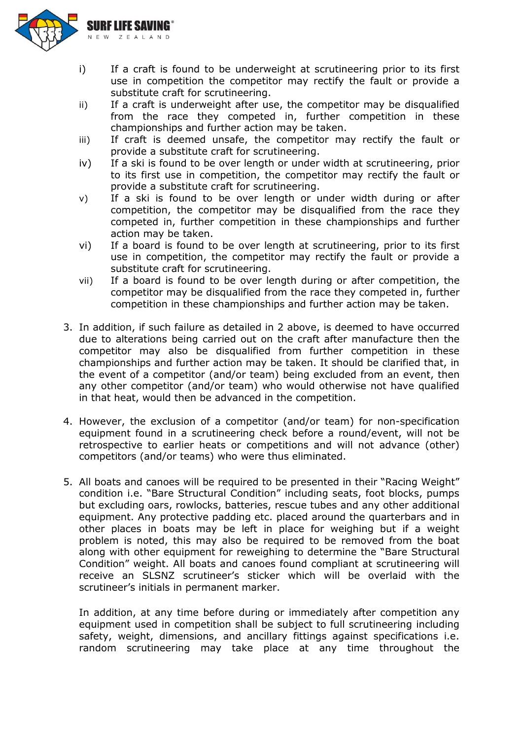

- i) If a craft is found to be underweight at scrutineering prior to its first use in competition the competitor may rectify the fault or provide a substitute craft for scrutineering.
- ii) If a craft is underweight after use, the competitor may be disqualified from the race they competed in, further competition in these championships and further action may be taken.
- iii) If craft is deemed unsafe, the competitor may rectify the fault or provide a substitute craft for scrutineering.
- iv) If a ski is found to be over length or under width at scrutineering, prior to its first use in competition, the competitor may rectify the fault or provide a substitute craft for scrutineering.
- v) If a ski is found to be over length or under width during or after competition, the competitor may be disqualified from the race they competed in, further competition in these championships and further action may be taken.
- vi) If a board is found to be over length at scrutineering, prior to its first use in competition, the competitor may rectify the fault or provide a substitute craft for scrutineering.
- vii) If a board is found to be over length during or after competition, the competitor may be disqualified from the race they competed in, further competition in these championships and further action may be taken.
- 3. In addition, if such failure as detailed in 2 above, is deemed to have occurred due to alterations being carried out on the craft after manufacture then the competitor may also be disqualified from further competition in these championships and further action may be taken. It should be clarified that, in the event of a competitor (and/or team) being excluded from an event, then any other competitor (and/or team) who would otherwise not have qualified in that heat, would then be advanced in the competition.
- 4. However, the exclusion of a competitor (and/or team) for non-specification equipment found in a scrutineering check before a round/event, will not be retrospective to earlier heats or competitions and will not advance (other) competitors (and/or teams) who were thus eliminated.
- 5. All boats and canoes will be required to be presented in their "Racing Weight" condition i.e. "Bare Structural Condition" including seats, foot blocks, pumps but excluding oars, rowlocks, batteries, rescue tubes and any other additional equipment. Any protective padding etc. placed around the quarterbars and in other places in boats may be left in place for weighing but if a weight problem is noted, this may also be required to be removed from the boat along with other equipment for reweighing to determine the "Bare Structural Condition" weight. All boats and canoes found compliant at scrutineering will receive an SLSNZ scrutineer's sticker which will be overlaid with the scrutineer's initials in permanent marker.

In addition, at any time before during or immediately after competition any equipment used in competition shall be subject to full scrutineering including safety, weight, dimensions, and ancillary fittings against specifications i.e. random scrutineering may take place at any time throughout the